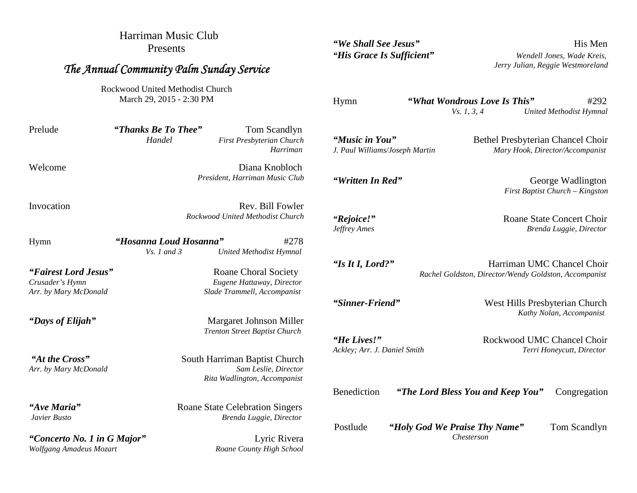Harriman Music Club Presents

## *The Annual Community Palm Sunday Service*

Rockwood United Methodist Church March 29, 2015 - 2:30 PM

Prelude *"Thanks Be To Thee"* Tom Scandlyn *Handel First Presbyterian Church*

Welcome **Diana Knobloch** *President, Harriman Music Club*

Invocation Rev. Bill Fowler *Rockwood United Methodist Church*

Hymn *"Hosanna Loud Hosanna"* #278 *Vs. 1 and 3 United Methodist Hymnal*

*"Concerto No. 1 in G Major"* Lyric Rivera *Wolfgang Amadeus Mozart Roane County High School*

*"Fairest Lord Jesus"* Roane Choral Society

*Crusader's Hymn Eugene Hattaway, Director Arr. by Mary McDonald Slade Trammell, Accompanist*

*"Days of Elijah"* Margaret Johnson Miller *Trenton Street Baptist Church*

*"At the Cross"* South Harriman Baptist Church *Arr. by Mary McDonald Sam Leslie, Director Rita Wadlington, Accompanist*

"*Ave Maria*" Roane State Celebration Singers *Javier Busto Brenda Luggie, Director*

*"We Shall See Jesus"* His Men

*"His Grace Is Sufficient" Wendell Jones, Wade Kreis, Jerry Julian, Reggie Westmoreland*

Hymn *"What Wondrous Love Is This"* #292

*Vs. 1, 3, 4 United Methodist Hymnal*

George Wadlington *First Baptist Church – Kingston*

**Roane State Concert Choir** 

**Bethel Presbyterian Chancel Choir** *J. Paul Williams/Joseph Martin Mary Hook, Director/Accompanist*

*Harriman*

*Jeffrey Ames Brenda Luggie, Director*

*"Is It I, Lord?"* Harriman UMC Chancel Choir *Rachel Goldston, Director/Wendy Goldston, Accompanist*

*"Sinner-Friend"* West Hills Presbyterian Church

*"He Lives!"* Rockwood UMC Chancel Choir

*Ackley; Arr. J. Daniel Smith Terri Honeycutt, Director*

*Kathy Nolan, Accompanist*

Benediction *"The Lord Bless You and Keep You"* Congregation

Postlude *"Holy God We Praise Thy Name"* Tom Scandlyn *Chesterson*